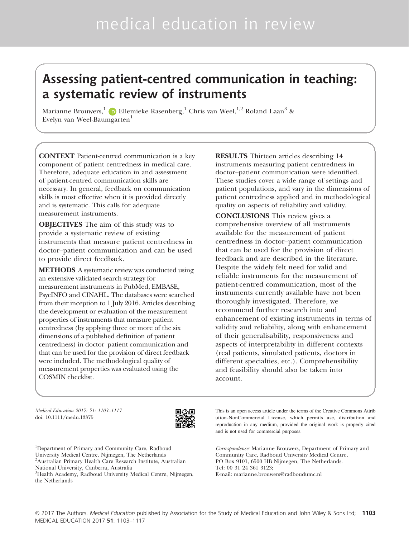# Assessing patient-centred communication in teaching: a systematic review of instruments

Marianne Brouwers,<sup>[1](http://orcid.org/0000-0001-8614-7692)</sup> D<br/> Ellemieke Rasenberg, $^1$  Chris van Weel,<br/>  $^{1,2}$  Roland Laan $^3$  & Evelyn van Weel-Baumgarten<sup>1</sup>

CONTEXT Patient-centred communication is a key component of patient centredness in medical care. Therefore, adequate education in and assessment of patient-centred communication skills are necessary. In general, feedback on communication skills is most effective when it is provided directly and is systematic. This calls for adequate measurement instruments.

OBJECTIVES The aim of this study was to provide a systematic review of existing instruments that measure patient centredness in doctor–patient communication and can be used to provide direct feedback.

METHODS A systematic review was conducted using an extensive validated search strategy for measurement instruments in PubMed, EMBASE, PsycINFO and CINAHL. The databases were searched from their inception to 1 July 2016. Articles describing the development or evaluation of the measurement properties of instruments that measure patient centredness (by applying three or more of the six dimensions of a published definition of patient centredness) in doctor–patient communication and that can be used for the provision of direct feedback were included. The methodological quality of measurement properties was evaluated using the COSMIN checklist.

RESULTS Thirteen articles describing 14 instruments measuring patient centredness in doctor–patient communication were identified. These studies cover a wide range of settings and patient populations, and vary in the dimensions of patient centredness applied and in methodological quality on aspects of reliability and validity.

CONCLUSIONS This review gives a comprehensive overview of all instruments available for the measurement of patient centredness in doctor–patient communication that can be used for the provision of direct feedback and are described in the literature. Despite the widely felt need for valid and reliable instruments for the measurement of patient-centred communication, most of the instruments currently available have not been thoroughly investigated. Therefore, we recommend further research into and enhancement of existing instruments in terms of validity and reliability, along with enhancement of their generalisability, responsiveness and aspects of interpretability in different contexts (real patients, simulated patients, doctors in different specialties, etc.). Comprehensibility and feasibility should also be taken into account.

Medical Education 2017: 51: 1103–1117 doi: 10.1111/medu.13375



<sup>1</sup>Department of Primary and Community Care, Radboud University Medical Centre, Nijmegen, The Netherlands 2 Australian Primary Health Care Research Institute, Australian National University, Canberra, Australia

<sup>3</sup>Health Academy, Radboud University Medical Centre, Nijmegen, the Netherlands

This is an open access article under the terms of the [Creative Commons Attrib](http://creativecommons.org/licenses/by-nc/4.0/) [ution-NonCommercial](http://creativecommons.org/licenses/by-nc/4.0/) License, which permits use, distribution and reproduction in any medium, provided the original work is properly cited and is not used for commercial purposes.

Correspondence: Marianne Brouwers, Department of Primary and Community Care, Radboud University Medical Centre, PO Box 9101, 6500 HB Nijmegen, The Netherlands. Tel: 00 31 24 361 3123; E-mail: marianne.brouwers@radboudumc.nl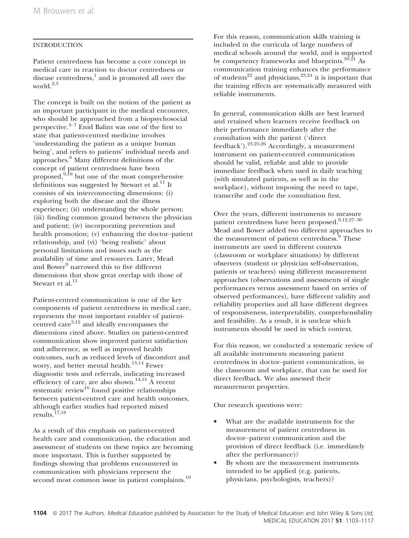# INTRODUCTION

Patient centredness has become a core concept in medical care in reaction to doctor centredness or disease centredness,<sup>1</sup> and is promoted all over the world. $^{2,3}$ 

The concept is built on the notion of the patient as an important participant in the medical encounter, who should be approached from a biopsychosocial perspective. $4\frac{1}{2}$  Enid Balint was one of the first to state that patient-centred medicine involves 'understanding the patient as a unique human being', and refers to patients' individual needs and approaches.<sup>8</sup> Many different definitions of the concept of patient centredness have been proposed,  $9,10$  but one of the most comprehensive definitions was suggested by Stewart et al.<sup>11</sup> It consists of six interconnecting dimensions: (i) exploring both the disease and the illness experience; (ii) understanding the whole person; (iii) finding common ground between the physician and patient; (iv) incorporating prevention and health promotion; (v) enhancing the doctor–patient relationship, and (vi) 'being realistic' about personal limitations and issues such as the availability of time and resources. Later, Mead and Bower<sup>9</sup> narrowed this to five different dimensions that show great overlap with those of Stewart et al.<sup>11</sup>

Patient-centred communication is one of the key components of patient centredness in medical care, represents the most important enabler of patientcentred care3,12 and ideally encompasses the dimensions cited above. Studies on patient-centred communication show improved patient satisfaction and adherence, as well as improved health outcomes, such as reduced levels of discomfort and worry, and better mental health.<sup>13,14</sup> Fewer diagnostic tests and referrals, indicating increased efficiency of care, are also shown.14,15 A recent systematic review<sup>16</sup> found positive relationships between patient-centred care and health outcomes, although earlier studies had reported mixed results.17,18

As a result of this emphasis on patient-centred health care and communication, the education and assessment of students on these topics are becoming more important. This is further supported by findings showing that problems encountered in communication with physicians represent the second most common issue in patient complaints.<sup>19</sup>

For this reason, communication skills training is included in the curricula of large numbers of medical schools around the world, and is supported by competency frameworks and blueprints.<sup>20,21</sup> As communication training enhances the performance of students $22$  and physicians, $23,24$  it is important that the training effects are systematically measured with reliable instruments.

In general, communication skills are best learned and retained when learners receive feedback on their performance immediately after the consultation with the patient ('direct feedback').23,25,26 Accordingly, a measurement instrument on patient-centred communication should be valid, reliable and able to provide immediate feedback when used in daily teaching (with simulated patients, as well as in the workplace), without imposing the need to tape, transcribe and code the consultation first.

Over the years, different instruments to measure patient centredness have been proposed.<sup>9,12,27-30</sup> Mead and Bower added two different approaches to the measurement of patient centredness.<sup>9</sup> These instruments are used in different contexts (classroom or workplace situations) by different observers (student or physician self-observation, patients or teachers) using different measurement approaches (observations and assessments of single performances versus assessment based on series of observed performances), have different validity and reliability properties and all have different degrees of responsiveness, interpretability, comprehensibility and feasibility. As a result, it is unclear which instruments should be used in which context.

For this reason, we conducted a systematic review of all available instruments measuring patient centredness in doctor–patient communication, in the classroom and workplace, that can be used for direct feedback. We also assessed their measurement properties.

Our research questions were:

- What are the available instruments for the measurement of patient centredness in doctor–patient communication and the provision of direct feedback (i.e. immediately after the performance)?
- By whom are the measurement instruments intended to be applied (e.g. patients, physicians, psychologists, teachers)?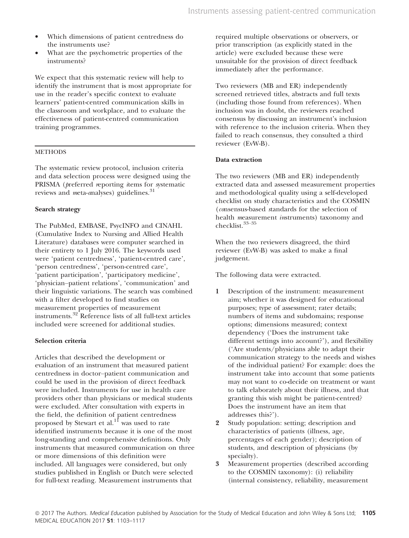- Which dimensions of patient centredness do the instruments use?
- What are the psychometric properties of the instruments?

We expect that this systematic review will help to identify the instrument that is most appropriate for use in the reader's specific context to evaluate learners' patient-centred communication skills in the classroom and workplace, and to evaluate the effectiveness of patient-centred communication training programmes.

## **METHODS**

The systematic review protocol, inclusion criteria and data selection process were designed using the PRISMA (*b*referred *reporting items* for *systematic* reviews and *meta-analyses*) guidelines.<sup>31</sup>

# Search strategy

The PubMed, EMBASE, PsycINFO and CINAHL (Cumulative Index to Nursing and Allied Health Literature) databases were computer searched in their entirety to 1 July 2016. The keywords used were 'patient centredness', 'patient-centred care', 'person centredness', 'person-centred care', 'patient participation', 'participatory medicine', 'physician–patient relations', 'communication' and their linguistic variations. The search was combined with a filter developed to find studies on measurement properties of measurement instruments.<sup>32</sup> Reference lists of all full-text articles included were screened for additional studies.

# Selection criteria

Articles that described the development or evaluation of an instrument that measured patient centredness in doctor–patient communication and could be used in the provision of direct feedback were included. Instruments for use in health care providers other than physicians or medical students were excluded. After consultation with experts in the field, the definition of patient centredness proposed by Stewart et al.<sup>11</sup> was used to rate identified instruments because it is one of the most long-standing and comprehensive definitions. Only instruments that measured communication on three or more dimensions of this definition were included. All languages were considered, but only studies published in English or Dutch were selected for full-text reading. Measurement instruments that

required multiple observations or observers, or prior transcription (as explicitly stated in the article) were excluded because these were unsuitable for the provision of direct feedback immediately after the performance.

Two reviewers (MB and ER) independently screened retrieved titles, abstracts and full texts (including those found from references). When inclusion was in doubt, the reviewers reached consensus by discussing an instrument's inclusion with reference to the inclusion criteria. When they failed to reach consensus, they consulted a third reviewer (EvW-B).

## Data extraction

The two reviewers (MB and ER) independently extracted data and assessed measurement properties and methodological quality using a self-developed checklist on study characteristics and the COSMIN (consensus-based standards for the selection of health measurement instruments) taxonomy and checklist.33–<sup>35</sup>

When the two reviewers disagreed, the third reviewer (EvW-B) was asked to make a final judgement.

The following data were extracted.

- 1 Description of the instrument: measurement aim; whether it was designed for educational purposes; type of assessment; rater details; numbers of items and subdomains; response options; dimensions measured; context dependency ('Does the instrument take different settings into account?'), and flexibility ('Are students/physicians able to adapt their communication strategy to the needs and wishes of the individual patient? For example: does the instrument take into account that some patients may not want to co-decide on treatment or want to talk elaborately about their illness, and that granting this wish might be patient-centred? Does the instrument have an item that addresses this?').
- 2 Study population: setting; description and characteristics of patients (illness, age, percentages of each gender); description of students, and description of physicians (by specialty).
- 3 Measurement properties (described according to the COSMIN taxonomy): (i) reliability (internal consistency, reliability, measurement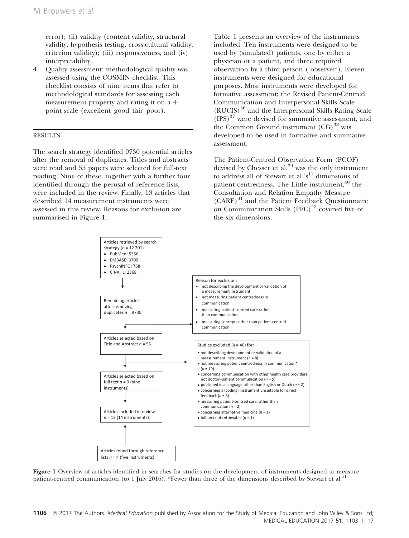error); (ii) validity (content validity, structural validity, hypothesis testing, cross-cultural validity, criterion validity); (iii) responsiveness, and (iv) interpretability.

4 Quality assessment: methodological quality was assessed using the COSMIN checklist. This checklist consists of nine items that refer to methodological standards for assessing each measurement property and rating it on a 4 point scale (excellent–good–fair–poor).

#### RESULTS

The search strategy identified 9730 potential articles after the removal of duplicates. Titles and abstracts were read and 55 papers were selected for full-text reading. Nine of these, together with a further four identified through the perusal of reference lists, were included in the review. Finally, 13 articles that described 14 measurement instruments were assessed in this review. Reasons for exclusion are summarised in Figure 1.

Table 1 presents an overview of the instruments included. Ten instruments were designed to be used by (simulated) patients, one by either a physician or a patient, and three required observation by a third person ('observer'). Eleven instruments were designed for educational purposes. Most instruments were developed for formative assessment; the Revised Patient-Centred Communication and Interpersonal Skills Scale  $(RUCIS)^{36}$  and the Interpersonal Skills Rating Scale (IPS)<sup>37</sup> were devised for summative assessment, and the Common Ground instrument  $(CG)^{38}$  was developed to be used in formative and summative assessment.

The Patient-Centred Observation Form (PCOF) devised by Chesser et al.<sup>39</sup> was the only instrument to address all of Stewart et al.'s<sup>11</sup> dimensions of patient centredness. The Little instrument,<sup>40</sup> the Consultation and Relation Empathy Measure  $(CARE)^{41}$  and the Patient Feedback Questionnaire on Communication Skills  $(PFC)^{42}$  covered five of the six dimensions.



Figure 1 Overview of articles identified in searches for studies on the development of instruments designed to measure patient-centred communication (to 1 July 2016). \*Fewer than three of the dimensions described by Stewart et al.<sup>11</sup>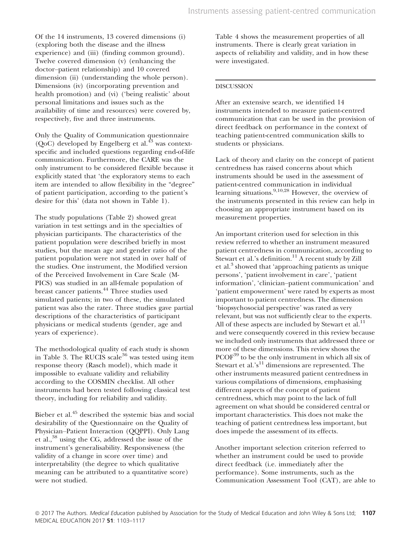Of the 14 instruments, 13 covered dimensions (i) (exploring both the disease and the illness experience) and (iii) (finding common ground). Twelve covered dimension (v) (enhancing the doctor–patient relationship) and 10 covered dimension (ii) (understanding the whole person). Dimensions (iv) (incorporating prevention and health promotion) and (vi) ('being realistic' about personal limitations and issues such as the availability of time and resources) were covered by, respectively, five and three instruments.

Only the Quality of Communication questionnaire  $(QoC)$  developed by Engelberg et al.<sup>43</sup> was contextspecific and included questions regarding end-of-life communication. Furthermore, the CARE was the only instrument to be considered flexible because it explicitly stated that 'the exploratory stems to each item are intended to allow flexibility in the "degree" of patient participation, according to the patient's desire for this' (data not shown in Table 1).

The study populations (Table 2) showed great variation in test settings and in the specialties of physician participants. The characteristics of the patient population were described briefly in most studies, but the mean age and gender ratio of the patient population were not stated in over half of the studies. One instrument, the Modified version of the Perceived Involvement in Care Scale (M-PICS) was studied in an all-female population of breast cancer patients.<sup>44</sup> Three studies used simulated patients; in two of these, the simulated patient was also the rater. Three studies gave partial descriptions of the characteristics of participant physicians or medical students (gender, age and years of experience).

The methodological quality of each study is shown in Table 3. The RUCIS scale<sup>36</sup> was tested using item response theory (Rasch model), which made it impossible to evaluate validity and reliability according to the COSMIN checklist. All other instruments had been tested following classical test theory, including for reliability and validity.

Bieber et al.<sup>45</sup> described the systemic bias and social desirability of the Questionnaire on the Quality of Physician–Patient Interaction (QQPPI). Only Lang et al.,<sup>38</sup> using the CG, addressed the issue of the instrument's generalisability. Responsiveness (the validity of a change in score over time) and interpretability (the degree to which qualitative meaning can be attributed to a quantitative score) were not studied.

Table 4 shows the measurement properties of all instruments. There is clearly great variation in aspects of reliability and validity, and in how these were investigated.

# DISCUSSION

After an extensive search, we identified 14 instruments intended to measure patient-centred communication that can be used in the provision of direct feedback on performance in the context of teaching patient-centred communication skills to students or physicians.

Lack of theory and clarity on the concept of patient centredness has raised concerns about which instruments should be used in the assessment of patient-centred communication in individual learning situations.9,10,28 However, the overview of the instruments presented in this review can help in choosing an appropriate instrument based on its measurement properties.

An important criterion used for selection in this review referred to whether an instrument measured patient centredness in communication, according to Stewart et al.'s definition.<sup>11</sup> A recent study by Zill et al.<sup>3</sup> showed that 'approaching patients as unique persons', 'patient involvement in care', 'patient information', 'clinician–patient communication' and 'patient empowerment' were rated by experts as most important to patient centredness. The dimension 'biopsychosocial perspective' was rated as very relevant, but was not sufficiently clear to the experts. All of these aspects are included by Stewart et al.<sup>11</sup> and were consequently covered in this review because we included only instruments that addressed three or more of these dimensions. This review shows the  $PCOF<sup>39</sup>$  to be the only instrument in which all six of Stewart et al.'s<sup>11</sup> dimensions are represented. The other instruments measured patient centredness in various compilations of dimensions, emphasising different aspects of the concept of patient centredness, which may point to the lack of full agreement on what should be considered central or important characteristics. This does not make the teaching of patient centredness less important, but does impede the assessment of its effects.

Another important selection criterion referred to whether an instrument could be used to provide direct feedback (i.e. immediately after the performance). Some instruments, such as the Communication Assessment Tool (CAT), are able to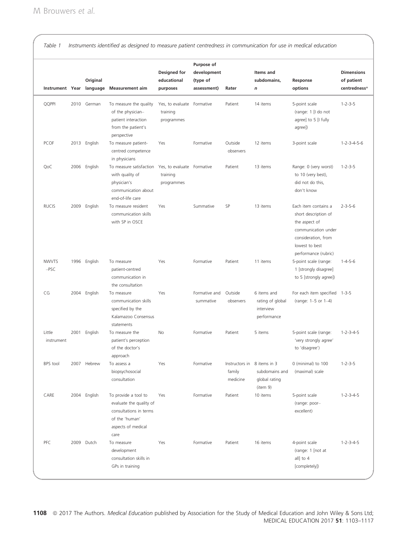Table 1 Instruments identified as designed to measure patient centredness in communication for use in medical education

| Instrument Year language |      | Original     | <b>Measurement aim</b>                                                                                                    | Designed for<br>educational<br>purposes              | Purpose of<br>development<br>(type of<br>assessment) | Rater                                             | Items and<br>subdomains,<br>n                               | Response<br>options                                                                                                                                   | <b>Dimensions</b><br>of patient<br>centredness* |
|--------------------------|------|--------------|---------------------------------------------------------------------------------------------------------------------------|------------------------------------------------------|------------------------------------------------------|---------------------------------------------------|-------------------------------------------------------------|-------------------------------------------------------------------------------------------------------------------------------------------------------|-------------------------------------------------|
| QQPPI                    |      | 2010 German  | To measure the quality<br>of the physician-<br>patient interaction<br>from the patient's<br>perspective                   | Yes, to evaluate Formative<br>training<br>programmes |                                                      | Patient                                           | 14 items                                                    | 5-point scale<br>(range: 1 [I do not<br>agree] to 5 [I fully<br>agree])                                                                               | $1 - 2 - 3 - 5$                                 |
| <b>PCOF</b>              |      | 2013 English | To measure patient-<br>centred competence<br>in physicians                                                                | Yes                                                  | Formative                                            | Outside<br>observers                              | 12 items                                                    | 3-point scale                                                                                                                                         | $1 - 2 - 3 - 4 - 5 - 6$                         |
| QoC                      |      | 2006 English | To measure satisfaction<br>with quality of<br>physician's<br>communication about<br>end-of-life care                      | Yes, to evaluate Formative<br>training<br>programmes |                                                      | Patient                                           | 13 items                                                    | Range: 0 (very worst)<br>to 10 (very best),<br>did not do this,<br>don't know                                                                         | $1 - 2 - 3 - 5$                                 |
| <b>RUCIS</b>             | 2009 | English      | To measure resident<br>communication skills<br>with SP in OSCE                                                            | Yes                                                  | Summative                                            | SP                                                | 13 items                                                    | Each item contains a<br>short description of<br>the aspect of<br>communication under<br>consideration, from<br>lowest to best<br>performance (rubric) | $2 - 3 - 5 - 6$                                 |
| <b>NWVTS</b><br>$-PSC$   |      | 1996 English | To measure<br>patient-centred<br>communication in<br>the consultation                                                     | Yes                                                  | Formative                                            | Patient                                           | 11 items                                                    | 5-point scale (range:<br>1 [strongly disagree]<br>to 5 [strongly agree])                                                                              | $1 - 4 - 5 - 6$                                 |
| CG                       | 2004 | English      | To measure<br>communication skills<br>specified by the<br>Kalamazoo Consensus<br>statements                               | Yes                                                  | Formative and<br>summative                           | Outside<br>observers                              | 6 items and<br>rating of global<br>interview<br>performance | For each item specified 1-3-5<br>(range: 1-5 or 1-4)                                                                                                  |                                                 |
| Little<br>instrument     |      | 2001 English | To measure the<br>patient's perception<br>of the doctor's<br>approach                                                     | <b>No</b>                                            | Formative                                            | Patient                                           | 5 items                                                     | 5-point scale (range:<br>'very strongly agree'<br>to 'disagree')                                                                                      | $1 - 2 - 3 - 4 - 5$                             |
| BPS tool                 |      | 2007 Hebrew  | To assess a<br>biopsychosocial<br>consultation                                                                            | Yes                                                  | Formative                                            | Instructors in 8 items in 3<br>family<br>medicine | subdomains and<br>global rating<br>(item 9)                 | 0 (minimal) to 100<br>(maximal) scale                                                                                                                 | $1 - 2 - 3 - 5$                                 |
| CARE                     |      | 2004 English | To provide a tool to<br>evaluate the quality of<br>consultations in terms<br>of the 'human'<br>aspects of medical<br>care | Yes                                                  | Formative                                            | Patient                                           | 10 items                                                    | 5-point scale<br>(range: poor-<br>excellent)                                                                                                          | $1 - 2 - 3 - 4 - 5$                             |
| PFC                      |      | 2009 Dutch   | To measure<br>development<br>consultation skills in<br>GPs in training                                                    | Yes                                                  | Formative                                            | Patient                                           | 16 items                                                    | 4-point scale<br>(range: 1 [not at<br>all] to 4<br>[completely])                                                                                      | $1 - 2 - 3 - 4 - 5$                             |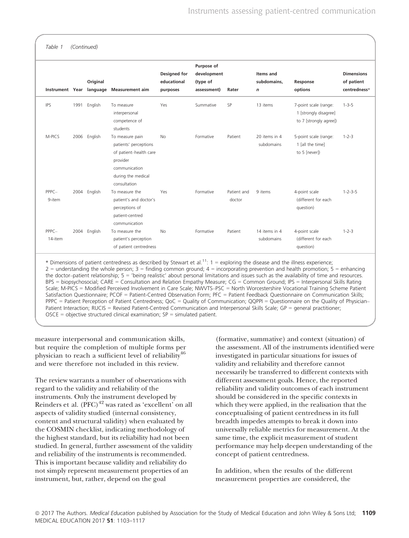Table 1 (Continued)

|                    |      |          |                                                                                                                                       | <b>Designed for</b> | Purpose of<br>development |                       | Items and                   |                                                                          | <b>Dimensions</b> |
|--------------------|------|----------|---------------------------------------------------------------------------------------------------------------------------------------|---------------------|---------------------------|-----------------------|-----------------------------|--------------------------------------------------------------------------|-------------------|
|                    |      | Original |                                                                                                                                       | educational         | (type of                  |                       | subdomains,                 | Response                                                                 | of patient        |
| Instrument Year    |      | language | <b>Measurement aim</b>                                                                                                                | purposes            | assessment)               | Rater                 | $\mathsf{n}$                | options                                                                  | centredness*      |
| <b>IPS</b>         | 1991 | English  | To measure<br>interpersonal<br>competence of<br>students                                                                              | Yes                 | Summative                 | SP                    | 13 items                    | 7-point scale (range:<br>1 [strongly disagree]<br>to 7 [strongly agree]) | $1 - 3 - 5$       |
| M-PICS             | 2006 | English  | To measure pain<br>patients' perceptions<br>of patient-health care<br>provider<br>communication<br>during the medical<br>consultation | <b>No</b>           | Formative                 | Patient               | 20 items in 4<br>subdomains | 5-point scale (range:<br>1 [all the time]<br>to 5 [never])               | $1 - 2 - 3$       |
| $PPPC-$<br>9-item  | 2004 | English  | To measure the<br>patient's and doctor's<br>perceptions of<br>patient-centred<br>communication                                        | Yes                 | Formative                 | Patient and<br>doctor | 9 items                     | 4-point scale<br>(different for each<br>question)                        | $1 - 2 - 3 - 5$   |
| $PPPC-$<br>14-item | 2004 | English  | To measure the<br>patient's perception<br>of patient centredness                                                                      | <b>No</b>           | Formative                 | Patient               | 14 items in 4<br>subdomains | 4-point scale<br>(different for each)<br>question)                       | $1 - 2 - 3$       |

\* Dimensions of patient centredness as described by Stewart et al.<sup>11</sup>:  $1 =$  exploring the disease and the illness experience;  $2 =$  understanding the whole person;  $3 =$  finding common ground;  $4 =$  incorporating prevention and health promotion;  $5 =$  enhancing the doctor–patient relationship; 5 = 'being realistic' about personal limitations and issues such as the availability of time and resources. BPS = biopsychosocial; CARE = Consultation and Relation Empathy Measure; CG = Common Ground; IPS = Interpersonal Skills Rating Scale; M-PICS = Modified Perceived Involvement in Care Scale; NWVTS–PSC = North Worcestershire Vocational Training Scheme Patient Satisfaction Questionnaire; PCOF = Patient-Centred Observation Form; PFC = Patient Feedback Questionnaire on Communication Skills; PPPC = Patient Perception of Patient Centredness; QoC = Quality of Communication; QQPPI = Questionnaire on the Quality of Physician– Patient Interaction; RUCIS = Revised Patient-Centred Communication and Interpersonal Skills Scale; GP = general practitioner;  $OSCE = objective$  structured clinical examination;  $SP = simulated$  patient.

measure interpersonal and communication skills, but require the completion of multiple forms per physician to reach a sufficient level of reliability<sup>46</sup> and were therefore not included in this review.

The review warrants a number of observations with regard to the validity and reliability of the instruments. Only the instrument developed by Reinders et al.  $(PFC)^{42}$  was rated as 'excellent' on all aspects of validity studied (internal consistency, content and structural validity) when evaluated by the COSMIN checklist, indicating methodology of the highest standard, but its reliability had not been studied. In general, further assessment of the validity and reliability of the instruments is recommended. This is important because validity and reliability do not simply represent measurement properties of an instrument, but, rather, depend on the goal

(formative, summative) and context (situation) of the assessment. All of the instruments identified were investigated in particular situations for issues of validity and reliability and therefore cannot necessarily be transferred to different contexts with different assessment goals. Hence, the reported reliability and validity outcomes of each instrument should be considered in the specific contexts in which they were applied, in the realisation that the conceptualising of patient centredness in its full breadth impedes attempts to break it down into universally reliable metrics for measurement. At the same time, the explicit measurement of student performance may help deepen understanding of the concept of patient centredness.

In addition, when the results of the different measurement properties are considered, the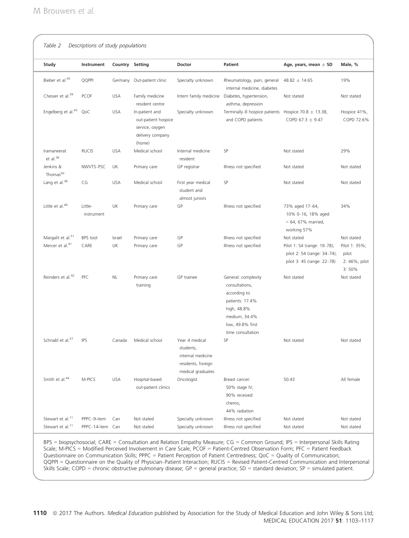| Table 2                             | Descriptions of study populations |                 |                                                                                        |                                                                                             |                                                                                                                                                   |                                                                                          |                                                  |
|-------------------------------------|-----------------------------------|-----------------|----------------------------------------------------------------------------------------|---------------------------------------------------------------------------------------------|---------------------------------------------------------------------------------------------------------------------------------------------------|------------------------------------------------------------------------------------------|--------------------------------------------------|
| Study                               | Instrument                        | Country Setting |                                                                                        | Doctor                                                                                      | Patient                                                                                                                                           | Age, years, mean $\pm$ SD                                                                | Male, %                                          |
| Bieber et al. <sup>45</sup>         | QQPPI                             |                 | Germany Out-patient clinic                                                             | Specialty unknown                                                                           | Rheumatology, pain, general<br>internal medicine, diabetes                                                                                        | $48.82 \pm 14.65$                                                                        | 19%                                              |
| Chesser et al. <sup>39</sup>        | <b>PCOF</b>                       | <b>USA</b>      | Family medicine<br>resident centre                                                     | Intern family medicine                                                                      | Diabetes, hypertension,<br>asthma, depression                                                                                                     | Not stated                                                                               | Not stated                                       |
| Engelberg et al. <sup>43</sup>      | QoC                               | <b>USA</b>      | In-patient and<br>out-patient hospice<br>service, oxygen<br>delivery company<br>(home) | Specialty unknown                                                                           | Terminally ill hospice patients<br>and COPD patients                                                                                              | Hospice 70.8 $\pm$ 13.38,<br>COPD 67.3 $\pm$ 9.47                                        | Hospice 41%,<br>COPD 72.6%                       |
| Iramaneerat<br>et al. <sup>36</sup> | <b>RUCIS</b>                      | <b>USA</b>      | Medical school                                                                         | Internal medicine<br>resident                                                               | SP                                                                                                                                                | Not stated                                                                               | 29%                                              |
| Jenkins &<br>Thomas <sup>50</sup>   | NWVTS-PSC                         | UK              | Primary care                                                                           | GP registrar                                                                                | Illness not specified                                                                                                                             | Not stated                                                                               | Not stated                                       |
| Lang et al. <sup>38</sup>           | CG                                | <b>USA</b>      | Medical school                                                                         | First year medical<br>student and<br>almost juniors                                         | SP                                                                                                                                                | Not stated                                                                               | Not stated                                       |
| Little et al. <sup>40</sup>         | Little-<br>instrument             | UK              | Primary care                                                                           | GP                                                                                          | Illness not specified                                                                                                                             | 73% aged 17-64,<br>10% 0-16, 18% aged<br>> 64, 67% married,<br>working 57%               | 34%                                              |
| Margalit et al. <sup>51</sup>       | BPS tool                          | Israel          | Primary care                                                                           | GP                                                                                          | Illness not specified                                                                                                                             | Not stated                                                                               | Not stated                                       |
| Mercer et al. <sup>41</sup>         | CARE                              | UK              | Primary care                                                                           | GP                                                                                          | Illness not specified                                                                                                                             | Pilot 1: 54 (range: 19-78);<br>pilot 2: 54 (range: 34-74);<br>pilot 3: 45 (range: 22-78) | Pilot 1: 35%;<br>pilot<br>2: 46%; pilot<br>3:50% |
| Reinders et al. <sup>42</sup>       | PFC                               | ΝL              | Primary care<br>training                                                               | GP trainee                                                                                  | General: complexity<br>consultations,<br>according to<br>patients: 17.4%<br>high, 48.8%<br>medium, 34.4%<br>low, 49.8% first<br>time consultation | Not stated                                                                               | Not stated                                       |
| Schnabl et al. <sup>37</sup>        | <b>IPS</b>                        | Canada          | Medical school                                                                         | Year 4 medical<br>students,<br>internal medicine<br>residents, foreign<br>medical graduates | SP                                                                                                                                                | Not stated                                                                               | Not stated                                       |
| Smith et al. <sup>44</sup>          | M-PICS                            | <b>USA</b>      | Hospital-based<br>out-patient clinics                                                  | Oncologist                                                                                  | Breast cancer:<br>50% stage IV,<br>90% received<br>chemo,<br>44% radiation                                                                        | 50.43                                                                                    | All female                                       |
| Stewart et al. <sup>11</sup>        | PPPC-9-item                       | Can             | Not stated                                                                             | Specialty unknown                                                                           | Illness not specified                                                                                                                             | Not stated                                                                               | Not stated                                       |
| Stewart et al. <sup>11</sup>        | PPPC-14-item Can                  |                 | Not stated                                                                             | Specialty unknown                                                                           | Illness not specified                                                                                                                             | Not stated                                                                               | Not stated                                       |

BPS = biopsychosocial; CARE = Consultation and Relation Empathy Measure; CG = Common Ground; IPS = Interpersonal Skills Rating Scale; M-PICS = Modified Perceived Involvement in Care Scale; PCOF = Patient-Centred Observation Form; PFC = Patient Feedback Questionnaire on Communication Skills; PPPC = Patient Perception of Patient Centredness; QoC = Quality of Communication; QQPPI = Questionnaire on the Quality of Physician–Patient Interaction; RUCIS = Revised Patient-Centred Communication and Interpersonal Skills Scale; COPD = chronic obstructive pulmonary disease; GP = general practice; SD = standard deviation; SP = simulated patient.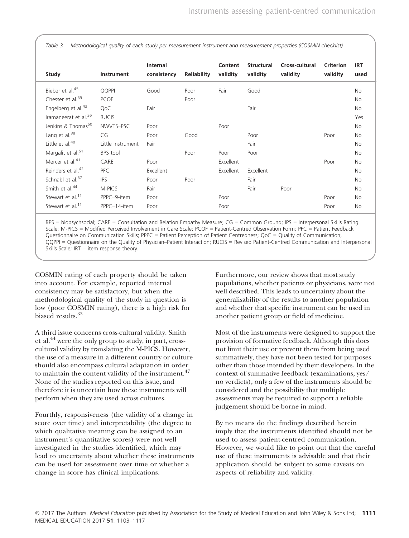Table 3 Methodological quality of each study per measurement instrument and measurement properties (COSMIN checklist)

| Study                            | Instrument        | Internal<br>consistency | Reliability | Content<br>validity | <b>Structural</b><br>validity | Cross-cultural<br>validity | <b>Criterion</b><br>validity | <b>IRT</b><br>used |
|----------------------------------|-------------------|-------------------------|-------------|---------------------|-------------------------------|----------------------------|------------------------------|--------------------|
| Bieber et al. <sup>45</sup>      | QQPPI             | Good                    | Poor        | Fair                | Good                          |                            |                              | <b>No</b>          |
| Chesser et al. $39$              | <b>PCOF</b>       |                         | Poor        |                     |                               |                            |                              | <b>No</b>          |
| Engelberg et al. <sup>43</sup>   | QoC               | Fair                    |             |                     | Fair                          |                            |                              | <b>No</b>          |
| Iramaneerat et al. <sup>36</sup> | <b>RUCIS</b>      |                         |             |                     |                               |                            |                              | Yes                |
| Jenkins & Thomas <sup>50</sup>   | NWVTS-PSC         | Poor                    |             | Poor                |                               |                            |                              | <b>No</b>          |
| Lang et al. <sup>38</sup>        | CG                | Poor                    | Good        |                     | Poor                          |                            | Poor                         | <b>No</b>          |
| Little et al. $40$               | Little instrument | Fair                    |             |                     | Fair                          |                            |                              | No                 |
| Margalit et al. <sup>51</sup>    | BPS tool          |                         | Poor        | Poor                | Poor                          |                            |                              | <b>No</b>          |
| Mercer et al. <sup>41</sup>      | CARE              | Poor                    |             | Excellent           |                               |                            | Poor                         | <b>No</b>          |
| Reinders et al. <sup>42</sup>    | <b>PFC</b>        | Excellent               |             | Excellent           | Excellent                     |                            |                              | <b>No</b>          |
| Schnabl et al. <sup>37</sup>     | <b>IPS</b>        | Poor                    | Poor        |                     | Fair                          |                            |                              | <b>No</b>          |
| Smith et al. <sup>44</sup>       | M-PICS            | Fair                    |             |                     | Fair                          | Poor                       |                              | <b>No</b>          |
| Stewart et al. <sup>11</sup>     | PPPC-9-item       | Poor                    |             | Poor                |                               |                            | Poor                         | <b>No</b>          |
| Stewart et al. <sup>11</sup>     | PPPC-14-item      | Poor                    |             | Poor                |                               |                            | Poor                         | <b>No</b>          |

BPS = biopsychsocial; CARE = Consultation and Relation Empathy Measure; CG = Common Ground; IPS = Interpersonal Skills Rating Scale; M-PICS = Modified Perceived Involvement in Care Scale; PCOF = Patient-Centred Observation Form; PFC = Patient Feedback Questionnaire on Communication Skills; PPPC = Patient Perception of Patient Centredness; QoC = Quality of Communication; QQPPI = Questionnaire on the Quality of Physician–Patient Interaction; RUCIS = Revised Patient-Centred Communication and Interpersonal Skills Scale; IRT = item response theory.

COSMIN rating of each property should be taken into account. For example, reported internal consistency may be satisfactory, but when the methodological quality of the study in question is low (poor COSMIN rating), there is a high risk for biased results.<sup>33</sup>

A third issue concerns cross-cultural validity. Smith et al.<sup>44</sup> were the only group to study, in part, crosscultural validity by translating the M-PICS. However, the use of a measure in a different country or culture should also encompass cultural adaptation in order to maintain the content validity of the instrument.<sup>47</sup> None of the studies reported on this issue, and therefore it is uncertain how these instruments will perform when they are used across cultures.

Fourthly, responsiveness (the validity of a change in score over time) and interpretability (the degree to which qualitative meaning can be assigned to an instrument's quantitative scores) were not well investigated in the studies identified, which may lead to uncertainty about whether these instruments can be used for assessment over time or whether a change in score has clinical implications.

Furthermore, our review shows that most study populations, whether patients or physicians, were not well described. This leads to uncertainty about the generalisability of the results to another population and whether that specific instrument can be used in another patient group or field of medicine.

Most of the instruments were designed to support the provision of formative feedback. Although this does not limit their use or prevent them from being used summatively, they have not been tested for purposes other than those intended by their developers. In the context of summative feedback (examinations; yes/ no verdicts), only a few of the instruments should be considered and the possibility that multiple assessments may be required to support a reliable judgement should be borne in mind.

By no means do the findings described herein imply that the instruments identified should not be used to assess patient-centred communication. However, we would like to point out that the careful use of these instruments is advisable and that their application should be subject to some caveats on aspects of reliability and validity.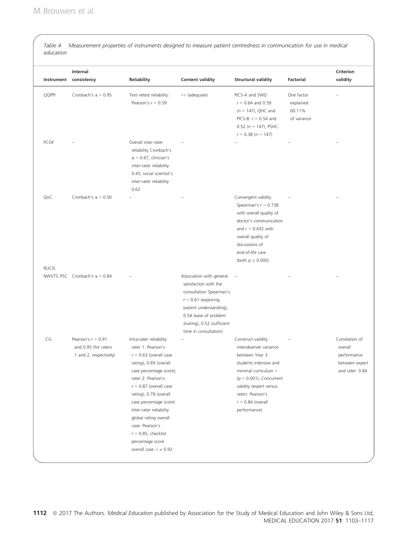Table 4 Measurement properties of instruments designed to measure patient centredness in communication for use in medical education

| Instrument   | Internal<br>consistency                                                | Reliability                                                                                                                                                                                                                                                                                                                                                                             | <b>Content validity</b>                                                                                                                                                                                          | <b>Structural validity</b>                                                                                                                                                                                                             | Factorial                                        | Criterion<br>validity                                                         |
|--------------|------------------------------------------------------------------------|-----------------------------------------------------------------------------------------------------------------------------------------------------------------------------------------------------------------------------------------------------------------------------------------------------------------------------------------------------------------------------------------|------------------------------------------------------------------------------------------------------------------------------------------------------------------------------------------------------------------|----------------------------------------------------------------------------------------------------------------------------------------------------------------------------------------------------------------------------------------|--------------------------------------------------|-------------------------------------------------------------------------------|
| QQPPI        | Cronbach's $\alpha = 0.95$                                             | Test-retest reliability:<br>Pearson's $r = 0.59$                                                                                                                                                                                                                                                                                                                                        | ++ (adequate)                                                                                                                                                                                                    | PICS-A and SWD:<br>$r = 0.64$ and 0.59<br>$(n = 147)$ , QHC and<br>PICS-B: $r = 0.54$ and<br>0.52 ( $n = 147$ ), PSHC:<br>$r = 0.38 (n = 147)$                                                                                         | One factor<br>explained<br>60.11%<br>of variance |                                                                               |
| <b>PCOF</b>  |                                                                        | Overall inter-rater<br>reliability Cronbach's<br>$\alpha$ = 0.67; clinician's<br>inter-rater reliability:<br>0.45; social scientist's<br>inter-rater reliability:<br>0.62                                                                                                                                                                                                               |                                                                                                                                                                                                                  |                                                                                                                                                                                                                                        |                                                  |                                                                               |
| QoC          | Cronbach's $\alpha = 0.50$                                             |                                                                                                                                                                                                                                                                                                                                                                                         |                                                                                                                                                                                                                  | Convergent validity<br>Spearman's $r = 0.738$<br>with overall quality of<br>doctor's communication<br>and $r = 0.432$ with<br>overall quality of<br>discussions of<br>end-of-life care<br>(both $p \leq 0.000$ )                       |                                                  |                                                                               |
| <b>RUCIS</b> | NWVTS-PSC Cronbach's $\alpha = 0.84$                                   |                                                                                                                                                                                                                                                                                                                                                                                         | Association with general<br>satisfaction with the<br>consultation Spearman's<br>$r = 0.61$ (exploring<br>patient understanding),<br>0.54 (ease of problem<br>sharing), 0.52 (sufficient<br>time in consultation) |                                                                                                                                                                                                                                        |                                                  |                                                                               |
| CG           | Pearson's $r = 0.91$<br>and 0.95 (for raters<br>1 and 2, respectively) | Intra-rater reliability:<br>rater 1: Pearson's<br>$r = 0.63$ (overall case<br>rating), 0.69 (overall<br>case percentage score);<br>rater 2: Pearson's<br>$r = 0.87$ (overall case<br>rating), 0.78 (overall<br>case percentage score)<br>Inter-rater reliability:<br>global rating overall<br>case: Pearson's<br>$r = 0.85$ , checklist<br>percentage score<br>overall case: $r = 0.92$ |                                                                                                                                                                                                                  | Construct validity:<br>interobserver variance<br>between Year 3<br>students intensive and<br>minimal curriculum +<br>$(p < 0.001)$ ; Concurrent<br>validity (expert versus<br>rater): Pearson's<br>$r = 0.84$ (overall<br>performance) |                                                  | Correlation of<br>overall<br>performance<br>between expert<br>and rater: 0.84 |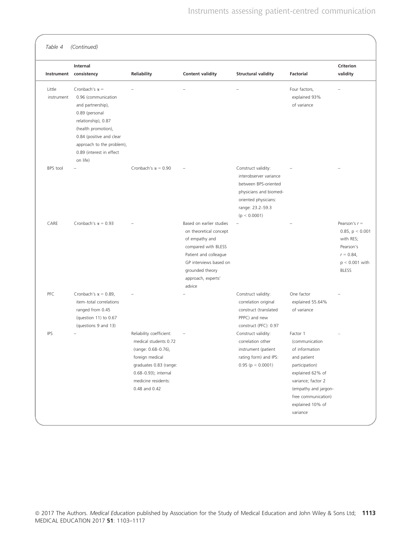– – – Four factors,

Criterion validity

–

| Table 4    | (Continued)                                |             |                         |                            |                       |
|------------|--------------------------------------------|-------------|-------------------------|----------------------------|-----------------------|
| Instrument | Internal<br>consistency                    | Reliability | <b>Content validity</b> | <b>Structural validity</b> | <b>Factorial</b>      |
| Little     | Cronbach's $\alpha$ =                      |             |                         |                            | Four facto            |
| instrument | 0.96 (communication<br>and partnership),   |             |                         |                            | explaine<br>of variar |
|            | 0.89 (personal                             |             |                         |                            |                       |
|            | relationship), 0.87<br>(health promotion), |             |                         |                            |                       |

| instrument | 0.96 (communication<br>and partnership),<br>0.89 (personal<br>relationship), 0.87<br>(health promotion),<br>0.84 (positive and clear<br>approach to the problem),<br>0.89 (interest in effect<br>on life) |                                                                                                                                                                                       |                                                                                                                                                                                                   |                                                                                                                                                             | explained 93%<br>of variance                                                                                                                                                                           |                                                                                                                    |
|------------|-----------------------------------------------------------------------------------------------------------------------------------------------------------------------------------------------------------|---------------------------------------------------------------------------------------------------------------------------------------------------------------------------------------|---------------------------------------------------------------------------------------------------------------------------------------------------------------------------------------------------|-------------------------------------------------------------------------------------------------------------------------------------------------------------|--------------------------------------------------------------------------------------------------------------------------------------------------------------------------------------------------------|--------------------------------------------------------------------------------------------------------------------|
| BPS tool   |                                                                                                                                                                                                           | Cronbach's $\alpha = 0.90$                                                                                                                                                            |                                                                                                                                                                                                   | Construct validity:<br>interobserver variance<br>between BPS-oriented<br>physicians and biomed-<br>oriented physicians:<br>range: 23.2-59.3<br>(p < 0.0001) |                                                                                                                                                                                                        |                                                                                                                    |
| CARE       | Cronbach's $\alpha = 0.93$                                                                                                                                                                                |                                                                                                                                                                                       | Based on earlier studies<br>on theoretical concept<br>of empathy and<br>compared with BLESS<br>Patient and colleague<br>GP interviews based on<br>grounded theory<br>approach, experts'<br>advice |                                                                                                                                                             |                                                                                                                                                                                                        | Pearson's $r =$<br>0.85, $p < 0.001$<br>with RES;<br>Pearson's<br>$r = 0.84$ ,<br>$p < 0.001$ with<br><b>BLESS</b> |
| PFC        | Cronbach's $\alpha = 0.89$ ,<br>item-total correlations<br>ranged from 0.45<br>(question 11) to 0.67<br>(questions 9 and 13)                                                                              |                                                                                                                                                                                       |                                                                                                                                                                                                   | Construct validity:<br>correlation original<br>construct (translated<br>PPPC) and new<br>construct (PFC): 0.97                                              | One factor<br>explained 55.64%<br>of variance                                                                                                                                                          |                                                                                                                    |
| <b>IPS</b> |                                                                                                                                                                                                           | Reliability coefficient:<br>medical students 0.72<br>(range: 0.68-0.76),<br>foreign medical<br>graduates 0.83 (range:<br>0.68-0.93); internal<br>medicine residents:<br>0.48 and 0.42 |                                                                                                                                                                                                   | Construct validity:<br>correlation other<br>instrument (patient<br>rating form) and IPS:<br>$0.95$ (p < 0.0001)                                             | Factor 1<br>(communication<br>of information<br>and patient<br>participation)<br>explained 62% of<br>variance; factor 2<br>(empathy and jargon-<br>free communication)<br>explained 10% of<br>variance |                                                                                                                    |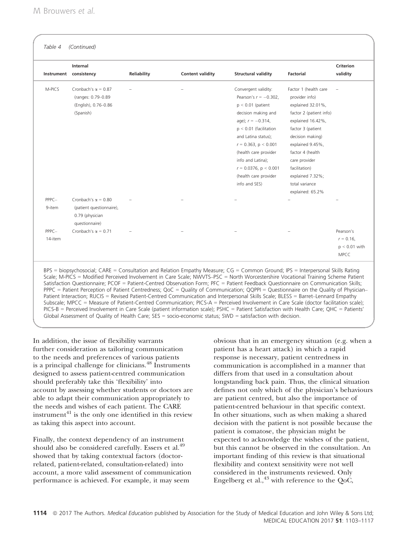|         | Internal<br>Instrument consistency | <b>Reliability</b> | <b>Content validity</b> | <b>Structural validity</b> | <b>Factorial</b>        | <b>Criterion</b><br>validity |
|---------|------------------------------------|--------------------|-------------------------|----------------------------|-------------------------|------------------------------|
| M-PICS  | Cronbach's $\alpha = 0.87$         |                    |                         | Convergent validity:       | Factor 1 (health care   |                              |
|         | (ranges: 0.79-0.89                 |                    |                         | Pearson's $r = -0.302$ ,   | provider info)          |                              |
|         | (English), 0.76-0.86               |                    |                         | $p < 0.01$ (patient        | explained 32.01%,       |                              |
|         | (Spanish)                          |                    |                         | decision making and        | factor 2 (patient info) |                              |
|         |                                    |                    |                         | age); $r = -0.314$ ,       | explained 16.42%,       |                              |
|         |                                    |                    |                         | $p < 0.01$ (facilitation   | factor 3 (patient       |                              |
|         |                                    |                    |                         | and Latina status);        | decision making)        |                              |
|         |                                    |                    |                         | $r = 0.363$ , $p < 0.001$  | explained 9.45%,        |                              |
|         |                                    |                    |                         | (health care provider      | factor 4 (health        |                              |
|         |                                    |                    |                         | info and Latina);          | care provider           |                              |
|         |                                    |                    |                         | $r = 0.0376$ , p < 0.001   | facilitation)           |                              |
|         |                                    |                    |                         | (health care provider      | explained 7.32%;        |                              |
|         |                                    |                    |                         | info and SES)              | total variance          |                              |
|         |                                    |                    |                         |                            | explained: 65.2%        |                              |
| $PPPC-$ | Cronbach's $\alpha = 0.80$         |                    |                         |                            |                         |                              |
| 9-item  | (patient questionnaire),           |                    |                         |                            |                         |                              |
|         | 0.79 (physician                    |                    |                         |                            |                         |                              |
|         | questionnaire)                     |                    |                         |                            |                         |                              |
| $PPPC-$ | Cronbach's $\alpha = 0.71$         |                    |                         |                            |                         | Pearson's                    |
| 14-item |                                    |                    |                         |                            |                         | $r = 0.16$ .                 |
|         |                                    |                    |                         |                            |                         | $p < 0.01$ with              |
|         |                                    |                    |                         |                            |                         | <b>MPCC</b>                  |

Satisfaction Questionnaire; PCOF = Patient-Centred Observation Form; PFC = Patient Feedback Questionnaire on Communication Skills; PPPC = Patient Perception of Patient Centredness; QoC = Quality of Communication; QQPPI = Questionnaire on the Quality of Physician– Patient Interaction; RUCIS = Revised Patient-Centred Communication and Interpersonal Skills Scale; BLESS = Barret–Lennard Empathy Subscale; MPCC = Measure of Patient-Centred Communication; PICS-A = Perceived Involvement in Care Scale (doctor facilitation scale); PICS-B = Perceived Involvement in Care Scale (patient information scale); PSHC = Patient Satisfaction with Health Care; QHC = Patients' Global Assessment of Quality of Health Care; SES = socio-economic status; SWD = satisfaction with decision.

In addition, the issue of flexibility warrants further consideration as tailoring communication to the needs and preferences of various patients is a principal challenge for clinicians.<sup>48</sup> Instruments designed to assess patient-centred communication should preferably take this 'flexibility' into account by assessing whether students or doctors are able to adapt their communication appropriately to the needs and wishes of each patient. The CARE instrument $^{41}$  is the only one identified in this review as taking this aspect into account.

Finally, the context dependency of an instrument should also be considered carefully. Essers et al.<sup>49</sup> showed that by taking contextual factors (doctorrelated, patient-related, consultation-related) into account, a more valid assessment of communication performance is achieved. For example, it may seem

obvious that in an emergency situation (e.g. when a patient has a heart attack) in which a rapid response is necessary, patient centredness in communication is accomplished in a manner that differs from that used in a consultation about longstanding back pain. Thus, the clinical situation defines not only which of the physician's behaviours are patient centred, but also the importance of patient-centred behaviour in that specific context. In other situations, such as when making a shared decision with the patient is not possible because the patient is comatose, the physician might be expected to acknowledge the wishes of the patient, but this cannot be observed in the consultation. An important finding of this review is that situational flexibility and context sensitivity were not well considered in the instruments reviewed. Only Engelberg et al.,  $43$  with reference to the QoC,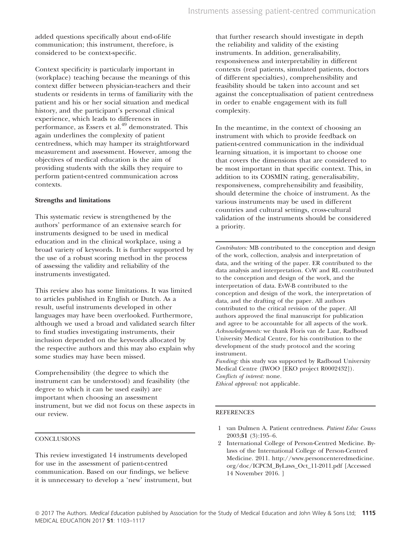added questions specifically about end-of-life communication; this instrument, therefore, is considered to be context-specific.

Context specificity is particularly important in (workplace) teaching because the meanings of this context differ between physician-teachers and their students or residents in terms of familiarity with the patient and his or her social situation and medical history, and the participant's personal clinical experience, which leads to differences in performance, as Essers et al.<sup>49</sup> demonstrated. This again underlines the complexity of patient centredness, which may hamper its straightforward measurement and assessment. However, among the objectives of medical education is the aim of providing students with the skills they require to perform patient-centred communication across contexts.

## Strengths and limitations

This systematic review is strengthened by the authors' performance of an extensive search for instruments designed to be used in medical education and in the clinical workplace, using a broad variety of keywords. It is further supported by the use of a robust scoring method in the process of assessing the validity and reliability of the instruments investigated.

This review also has some limitations. It was limited to articles published in English or Dutch. As a result, useful instruments developed in other languages may have been overlooked. Furthermore, although we used a broad and validated search filter to find studies investigating instruments, their inclusion depended on the keywords allocated by the respective authors and this may also explain why some studies may have been missed.

Comprehensibility (the degree to which the instrument can be understood) and feasibility (the degree to which it can be used easily) are important when choosing an assessment instrument, but we did not focus on these aspects in our review.

# **CONCLUSIONS**

This review investigated 14 instruments developed for use in the assessment of patient-centred communication. Based on our findings, we believe it is unnecessary to develop a 'new' instrument, but that further research should investigate in depth the reliability and validity of the existing instruments. In addition, generalisability, responsiveness and interpretability in different contexts (real patients, simulated patients, doctors of different specialties), comprehensibility and feasibility should be taken into account and set against the conceptualisation of patient centredness in order to enable engagement with its full complexity.

In the meantime, in the context of choosing an instrument with which to provide feedback on patient-centred communication in the individual learning situation, it is important to choose one that covers the dimensions that are considered to be most important in that specific context. This, in addition to its COSMIN rating, generalisability, responsiveness, comprehensibility and feasibility, should determine the choice of instrument. As the various instruments may be used in different countries and cultural settings, cross-cultural validation of the instruments should be considered a priority.

Contributors: MB contributed to the conception and design of the work, collection, analysis and interpretation of data, and the writing of the paper. ER contributed to the data analysis and interpretation. CvW and RL contributed to the conception and design of the work, and the interpretation of data. EvW-B contributed to the conception and design of the work, the interpretation of data, and the drafting of the paper. All authors contributed to the critical revision of the paper. All authors approved the final manuscript for publication and agree to be accountable for all aspects of the work. Acknowledgements: we thank Floris van de Laar, Radboud University Medical Centre, for his contribution to the development of the study protocol and the scoring instrument.

Funding: this study was supported by Radboud University Medical Centre (IWOO [EKO project R0002432]). Conflicts of interest: none. Ethical approval: not applicable.

#### **REFERENCES**

- 1 van Dulmen A. Patient centredness. Patient Educ Couns 2003;51 (3):195–6.
- 2 International College of Person-Centred Medicine. Bylaws of the International College of Person-Centred Medicine. 2011. [http://www.personcenteredmedicine.](http://www.personcenteredmedicine.org/doc/ICPCM_ByLaws_Oct_11-2011.pdf) [org/doc/ICPCM\\_ByLaws\\_Oct\\_11-2011.pdf](http://www.personcenteredmedicine.org/doc/ICPCM_ByLaws_Oct_11-2011.pdf) [Accessed 14 November 2016. ]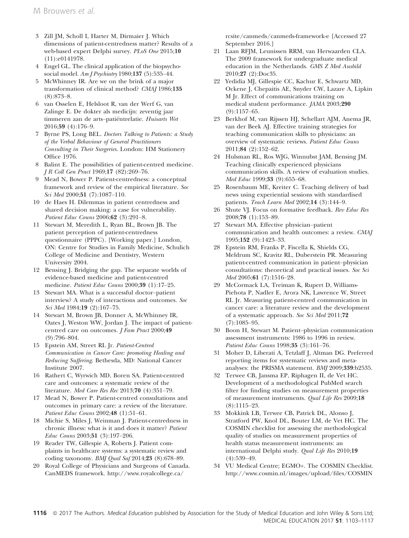- 3 Zill JM, Scholl I, Harter M, Dirmaier J. Which dimensions of patient-centredness matter? Results of a web-based expert Delphi survey. PLoS One 2015;10 (11):e0141978.
- 4 Engel GL. The clinical application of the biopsychosocial model. Am J Psychiatry 1980;137 (5):535–44.
- 5 McWhinney IR. Are we on the brink of a major transformation of clinical method? CMAJ 1986;135 (8):873–8.
- 6 van Osselen E, Helsloot R, van der Werf G, van Zalinge E. De dokter als medicijn: zeventig jaar timmeren aan de arts–patiëntrelatie. Huisarts Wet 2016;59 (4):176–9.
- 7 Byrne PS, Long BEL. Doctors Talking to Patients: a Study of the Verbal Behaviour of General Practitioners Consulting in Their Surgeries. London: HM Stationery Office 1976.
- 8 Balint E. The possibilities of patient-centred medicine. J R Coll Gen Pract 1969;17 (82):269–76.
- 9 Mead N, Bower P. Patient-centredness: a conceptual framework and review of the empirical literature. Soc Sci Med 2000;51 (7):1087-110.
- 10 de Haes H. Dilemmas in patient centredness and shared decision making: a case for vulnerability. Patient Educ Couns 2006;62 (3):291–8.
- 11 Stewart M, Meredith L, Ryan BL, Brown JB. The patient perception of patient-centredness questionnaire (PPPC). [Working paper.] London, ON: Centre for Studies in Family Medicine, Schulich College of Medicine and Dentistry, Western University 2004.
- 12 Bensing J. Bridging the gap. The separate worlds of evidence-based medicine and patient-centred medicine. Patient Educ Couns 2000;39 (1):17–25.
- 13 Stewart MA. What is a successful doctor–patient interview? A study of interactions and outcomes. Soc Sci Med 1984;19 (2):167-75.
- 14 Stewart M, Brown JB, Donner A, McWhinney IR, Oates J, Weston WW, Jordan J. The impact of patientcentred care on outcomes. *J Fam Pract* 2000;49 (9):796–804.
- 15 Epstein AM, Street RL Jr. Patient-Centred Communication in Cancer Care: promoting Healing and Reducing Suffering. Bethesda, MD: National Cancer Institute 2007.
- 16 Rathert C, Wyrwich MD, Boren SA. Patient-centred care and outcomes: a systematic review of the literature. Med Care Res Rec 2013;70 (4):351–79.
- 17 Mead N, Bower P. Patient-centred consultations and outcomes in primary care: a review of the literature. Patient Educ Couns 2002;48 (1):51–61.
- 18 Michie S, Miles J, Weinman J. Patient-centredness in chronic illness: what is it and does it matter? Patient Educ Couns 2003;51 (3):197–206.
- 19 Reader TW, Gillespie A, Roberts J. Patient complaints in healthcare systems: a systematic review and coding taxonomy. BMJ Qual Saf 2014;23 (8):678–89.
- 20 Royal College of Physicians and Surgeons of Canada. CanMEDS framework. [http://www.royalcollege.ca/](http://www.royalcollege.ca/rcsite/canmeds/canmeds-framework-e)

[rcsite/canmeds/canmeds-framework-e](http://www.royalcollege.ca/rcsite/canmeds/canmeds-framework-e) [Accessed 27 September 2016.]

- 21 Laan RFJM, Leunissen RRM, van Herwaarden CLA. The 2009 framework for undergraduate medical education in the Netherlands. GMS Z Med Ausbild 2010;27 (2):Doc35.
- 22 Yedidia MJ, Gillespie CC, Kachur E, Schwartz MD, Ockene J, Chepaitis AE, Snyder CW, Lazare A, Lipkin M Jr. Effect of communications training on medical student performance. JAMA 2003;290 (9):1157–65.
- 23 Berkhof M, van Rijssen HJ, Schellart AJM, Anema JR, van der Beek AJ. Effective training strategies for teaching communication skills to physicians: an overview of systematic reviews. Patient Educ Couns 2011;84 (2):152–62.
- 24 Hulsman RL, Ros WJG, Winnubst JAM, Bensing JM. Teaching clinically experienced physicians communication skills. A review of evaluation studies. Med Educ 1999;33 (9):655–68.
- 25 Rosenbaum ME, Kreiter C. Teaching delivery of bad news using experiential sessions with standardised patients. Teach Learn Med 2002;14 (3):144–9.
- 26 Shute VJ. Focus on formative feedback. Rev Educ Res 2008;78 (1):153–89.
- 27 Stewart MA. Effective physician–patient communication and health outcomes: a review. CMAJ 1995;152 (9):1423–33.
- 28 Epstein RM, Franks P, Fiscella K, Shields CG, Meldrum SC, Kravitz RL, Duberstein PR. Measuring patient-centred communication in patient–physician consultations: theoretical and practical issues. Soc Sci Med 2005;**61** (7):1516-28.
- 29 McCormack LA, Treiman K, Rupert D, Williams-Piehota P, Nadler E, Arora NK, Lawrence W, Street RL Jr. Measuring patient-centred communication in cancer care: a literature review and the development of a systematic approach. Soc Sci Med 2011;72  $(7):1085-95.$
- 30 Boon H, Stewart M. Patient–physician communication assessment instruments: 1986 to 1996 in review. Patient Educ Couns 1998;35 (3):161–76.
- 31 Moher D, Liberati A, Tetzlaff J, Altman DG. Preferred reporting items for systematic reviews and metaanalyses: the PRISMA statement. BMJ 2009;339:b2535.
- 32 Terwee CB, Jansma EP, Riphagen II, de Vet HC. Development of a methodological PubMed search filter for finding studies on measurement properties of measurement instruments. Qual Life Res 2009;18 (8):1115–23.
- 33 Mokkink LB, Terwee CB, Patrick DL, Alonso J, Stratford PW, Knol DL, Bouter LM, de Vet HC. The COSMIN checklist for assessing the methodological quality of studies on measurement properties of health status measurement instruments: an international Delphi study. Qual Life Res 2010;19 (4):539–49.
- 34 VU Medical Centre; EGMO+. The COSMIN Checklist. [http://www.cosmin.nl/images/upload/files/COSMIN](http://www.cosmin.nl/images/upload/files/COSMIN%20checklist%20with%204-point%20scale%2022%20juni%202011.pdf)